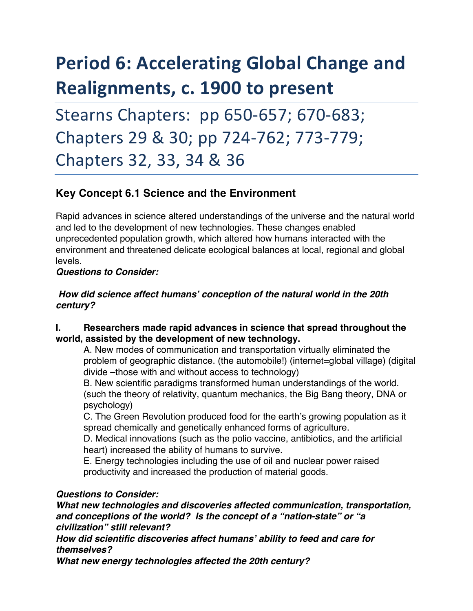# **Period 6: Accelerating Global Change and Realignments, c. 1900 to present**

Stearns Chapters: pp 650-657; 670-683; Chapters 29 & 30; pp 724-762; 773-779; Chapters 32, 33, 34 & 36

# **Key Concept 6.1 Science and the Environment**

Rapid advances in science altered understandings of the universe and the natural world and led to the development of new technologies. These changes enabled unprecedented population growth, which altered how humans interacted with the environment and threatened delicate ecological balances at local, regional and global levels.

### *Questions to Consider:*

## *How did science affect humans' conception of the natural world in the 20th century?*

### **I. Researchers made rapid advances in science that spread throughout the world, assisted by the development of new technology.**

A. New modes of communication and transportation virtually eliminated the problem of geographic distance. (the automobile!) (internet=global village) (digital divide –those with and without access to technology)

B. New scientific paradigms transformed human understandings of the world. (such the theory of relativity, quantum mechanics, the Big Bang theory, DNA or psychology)

C. The Green Revolution produced food for the earth's growing population as it spread chemically and genetically enhanced forms of agriculture.

D. Medical innovations (such as the polio vaccine, antibiotics, and the artificial heart) increased the ability of humans to survive.

E. Energy technologies including the use of oil and nuclear power raised productivity and increased the production of material goods.

# *Questions to Consider:*

*What new technologies and discoveries affected communication, transportation, and conceptions of the world? Is the concept of a "nation-state" or "a civilization" still relevant?*

*How did scientific discoveries affect humans' ability to feed and care for themselves?* 

*What new energy technologies affected the 20th century?*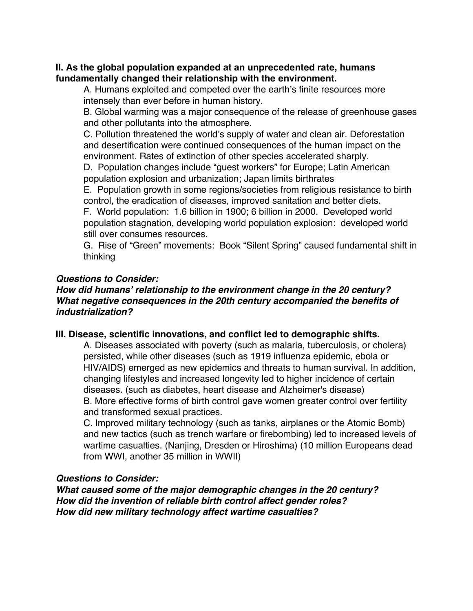#### **II. As the global population expanded at an unprecedented rate, humans fundamentally changed their relationship with the environment.**

A. Humans exploited and competed over the earth's finite resources more intensely than ever before in human history.

B. Global warming was a major consequence of the release of greenhouse gases and other pollutants into the atmosphere.

C. Pollution threatened the world's supply of water and clean air. Deforestation and desertification were continued consequences of the human impact on the environment. Rates of extinction of other species accelerated sharply.

D. Population changes include "guest workers" for Europe; Latin American population explosion and urbanization; Japan limits birthrates

E. Population growth in some regions/societies from religious resistance to birth control, the eradication of diseases, improved sanitation and better diets.

F. World population: 1.6 billion in 1900; 6 billion in 2000. Developed world population stagnation, developing world population explosion: developed world still over consumes resources.

G. Rise of "Green" movements: Book "Silent Spring" caused fundamental shift in thinking

# *Questions to Consider:*

#### *How did humans' relationship to the environment change in the 20 century? What negative consequences in the 20th century accompanied the benefits of industrialization?*

#### **III. Disease, scientific innovations, and conflict led to demographic shifts.**

A. Diseases associated with poverty (such as malaria, tuberculosis, or cholera) persisted, while other diseases (such as 1919 influenza epidemic, ebola or HIV/AIDS) emerged as new epidemics and threats to human survival. In addition, changing lifestyles and increased longevity led to higher incidence of certain diseases. (such as diabetes, heart disease and Alzheimer's disease) B. More effective forms of birth control gave women greater control over fertility and transformed sexual practices.

C. Improved military technology (such as tanks, airplanes or the Atomic Bomb) and new tactics (such as trench warfare or firebombing) led to increased levels of wartime casualties. (Nanjing, Dresden or Hiroshima) (10 million Europeans dead from WWI, another 35 million in WWII)

#### *Questions to Consider:*

*What caused some of the major demographic changes in the 20 century? How did the invention of reliable birth control affect gender roles? How did new military technology affect wartime casualties?*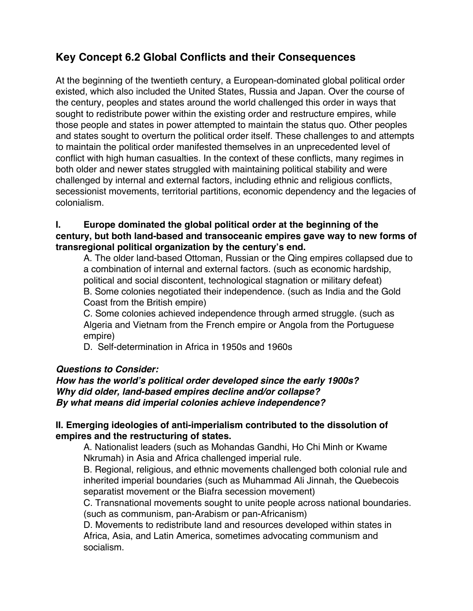# **Key Concept 6.2 Global Conflicts and their Consequences**

At the beginning of the twentieth century, a European-dominated global political order existed, which also included the United States, Russia and Japan. Over the course of the century, peoples and states around the world challenged this order in ways that sought to redistribute power within the existing order and restructure empires, while those people and states in power attempted to maintain the status quo. Other peoples and states sought to overturn the political order itself. These challenges to and attempts to maintain the political order manifested themselves in an unprecedented level of conflict with high human casualties. In the context of these conflicts, many regimes in both older and newer states struggled with maintaining political stability and were challenged by internal and external factors, including ethnic and religious conflicts, secessionist movements, territorial partitions, economic dependency and the legacies of colonialism.

### **I. Europe dominated the global political order at the beginning of the century, but both land-based and transoceanic empires gave way to new forms of transregional political organization by the century's end.**

A. The older land-based Ottoman, Russian or the Qing empires collapsed due to a combination of internal and external factors. (such as economic hardship, political and social discontent, technological stagnation or military defeat) B. Some colonies negotiated their independence. (such as India and the Gold Coast from the British empire)

C. Some colonies achieved independence through armed struggle. (such as Algeria and Vietnam from the French empire or Angola from the Portuguese empire)

D. Self-determination in Africa in 1950s and 1960s

# *Questions to Consider:*

## *How has the world's political order developed since the early 1900s? Why did older, land-based empires decline and/or collapse? By what means did imperial colonies achieve independence?*

# **II. Emerging ideologies of anti-imperialism contributed to the dissolution of empires and the restructuring of states.**

A. Nationalist leaders (such as Mohandas Gandhi, Ho Chi Minh or Kwame Nkrumah) in Asia and Africa challenged imperial rule.

B. Regional, religious, and ethnic movements challenged both colonial rule and inherited imperial boundaries (such as Muhammad Ali Jinnah, the Quebecois separatist movement or the Biafra secession movement)

C. Transnational movements sought to unite people across national boundaries. (such as communism, pan-Arabism or pan-Africanism)

D. Movements to redistribute land and resources developed within states in Africa, Asia, and Latin America, sometimes advocating communism and socialism.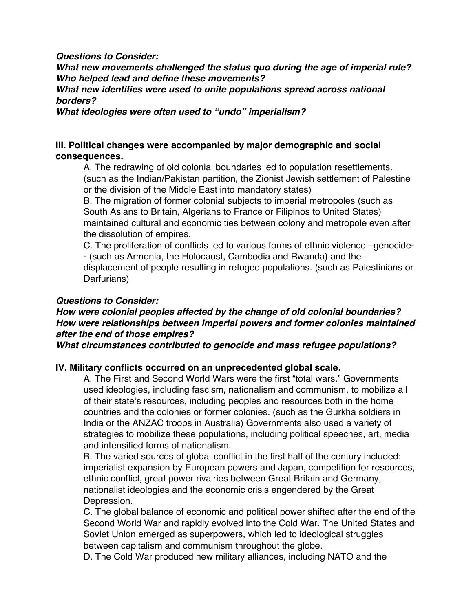#### *Questions to Consider:*

*What new movements challenged the status quo during the age of imperial rule? Who helped lead and define these movements?* 

*What new identities were used to unite populations spread across national borders?* 

*What ideologies were often used to "undo" imperialism?* 

# **III. Political changes were accompanied by major demographic and social consequences.**

A. The redrawing of old colonial boundaries led to population resettlements. (such as the Indian/Pakistan partition, the Zionist Jewish settlement of Palestine or the division of the Middle East into mandatory states)

B. The migration of former colonial subjects to imperial metropoles (such as South Asians to Britain, Algerians to France or Filipinos to United States) maintained cultural and economic ties between colony and metropole even after the dissolution of empires.

C. The proliferation of conflicts led to various forms of ethnic violence –genocide- - (such as Armenia, the Holocaust, Cambodia and Rwanda) and the displacement of people resulting in refugee populations. (such as Palestinians or Darfurians)

# *Questions to Consider:*

# *How were colonial peoples affected by the change of old colonial boundaries? How were relationships between imperial powers and former colonies maintained after the end of those empires?*

*What circumstances contributed to genocide and mass refugee populations?* 

# **IV. Military conflicts occurred on an unprecedented global scale.**

A. The First and Second World Wars were the first "total wars." Governments used ideologies, including fascism, nationalism and communism, to mobilize all of their state's resources, including peoples and resources both in the home countries and the colonies or former colonies. (such as the Gurkha soldiers in India or the ANZAC troops in Australia) Governments also used a variety of strategies to mobilize these populations, including political speeches, art, media and intensified forms of nationalism.

B. The varied sources of global conflict in the first half of the century included: imperialist expansion by European powers and Japan, competition for resources, ethnic conflict, great power rivalries between Great Britain and Germany, nationalist ideologies and the economic crisis engendered by the Great Depression.

C. The global balance of economic and political power shifted after the end of the Second World War and rapidly evolved into the Cold War. The United States and Soviet Union emerged as superpowers, which led to ideological struggles between capitalism and communism throughout the globe.

D. The Cold War produced new military alliances, including NATO and the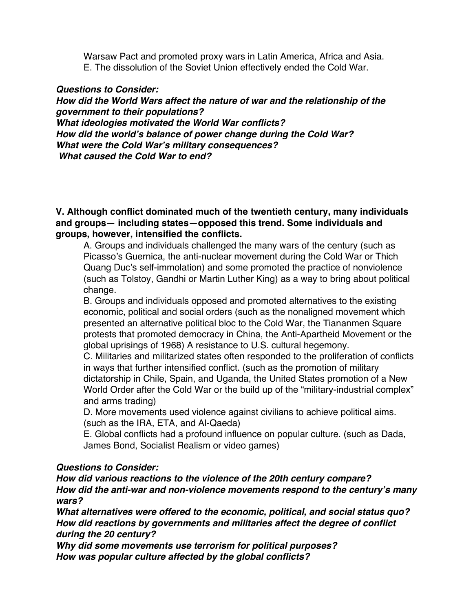Warsaw Pact and promoted proxy wars in Latin America, Africa and Asia. E. The dissolution of the Soviet Union effectively ended the Cold War.

## *Questions to Consider:*

*How did the World Wars affect the nature of war and the relationship of the government to their populations? What ideologies motivated the World War conflicts? How did the world's balance of power change during the Cold War? What were the Cold War's military consequences? What caused the Cold War to end?* 

**V. Although conflict dominated much of the twentieth century, many individuals and groups— including states—opposed this trend. Some individuals and groups, however, intensified the conflicts.** 

A. Groups and individuals challenged the many wars of the century (such as Picasso's Guernica, the anti-nuclear movement during the Cold War or Thich Quang Duc's self-immolation) and some promoted the practice of nonviolence (such as Tolstoy, Gandhi or Martin Luther King) as a way to bring about political change.

B. Groups and individuals opposed and promoted alternatives to the existing economic, political and social orders (such as the nonaligned movement which presented an alternative political bloc to the Cold War, the Tiananmen Square protests that promoted democracy in China, the Anti-Apartheid Movement or the global uprisings of 1968) A resistance to U.S. cultural hegemony.

C. Militaries and militarized states often responded to the proliferation of conflicts in ways that further intensified conflict. (such as the promotion of military dictatorship in Chile, Spain, and Uganda, the United States promotion of a New World Order after the Cold War or the build up of the "military-industrial complex" and arms trading)

D. More movements used violence against civilians to achieve political aims. (such as the IRA, ETA, and Al-Qaeda)

E. Global conflicts had a profound influence on popular culture. (such as Dada, James Bond, Socialist Realism or video games)

# *Questions to Consider:*

*How did various reactions to the violence of the 20th century compare? How did the anti-war and non-violence movements respond to the century's many wars?* 

*What alternatives were offered to the economic, political, and social status quo? How did reactions by governments and militaries affect the degree of conflict during the 20 century?*

*Why did some movements use terrorism for political purposes? How was popular culture affected by the global conflicts?*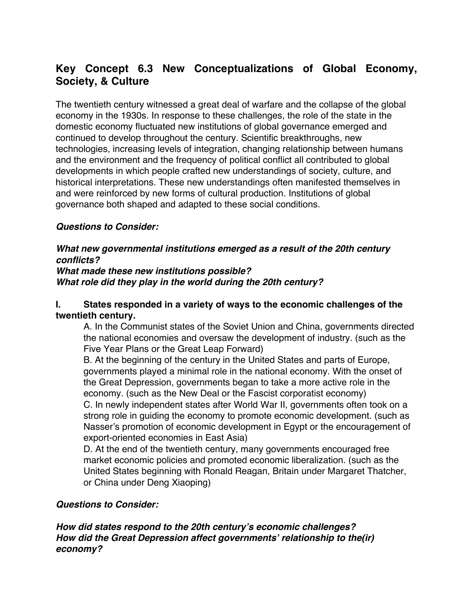# **Key Concept 6.3 New Conceptualizations of Global Economy, Society, & Culture**

The twentieth century witnessed a great deal of warfare and the collapse of the global economy in the 1930s. In response to these challenges, the role of the state in the domestic economy fluctuated new institutions of global governance emerged and continued to develop throughout the century. Scientific breakthroughs, new technologies, increasing levels of integration, changing relationship between humans and the environment and the frequency of political conflict all contributed to global developments in which people crafted new understandings of society, culture, and historical interpretations. These new understandings often manifested themselves in and were reinforced by new forms of cultural production. Institutions of global governance both shaped and adapted to these social conditions.

# *Questions to Consider:*

#### *What new governmental institutions emerged as a result of the 20th century conflicts?*

## *What made these new institutions possible? What role did they play in the world during the 20th century?*

# **I. States responded in a variety of ways to the economic challenges of the twentieth century.**

A. In the Communist states of the Soviet Union and China, governments directed the national economies and oversaw the development of industry. (such as the Five Year Plans or the Great Leap Forward)

B. At the beginning of the century in the United States and parts of Europe, governments played a minimal role in the national economy. With the onset of the Great Depression, governments began to take a more active role in the economy. (such as the New Deal or the Fascist corporatist economy) C. In newly independent states after World War II, governments often took on a strong role in guiding the economy to promote economic development. (such as Nasser's promotion of economic development in Egypt or the encouragement of export-oriented economies in East Asia)

D. At the end of the twentieth century, many governments encouraged free market economic policies and promoted economic liberalization. (such as the United States beginning with Ronald Reagan, Britain under Margaret Thatcher, or China under Deng Xiaoping)

# *Questions to Consider:*

*How did states respond to the 20th century's economic challenges? How did the Great Depression affect governments' relationship to the(ir) economy?*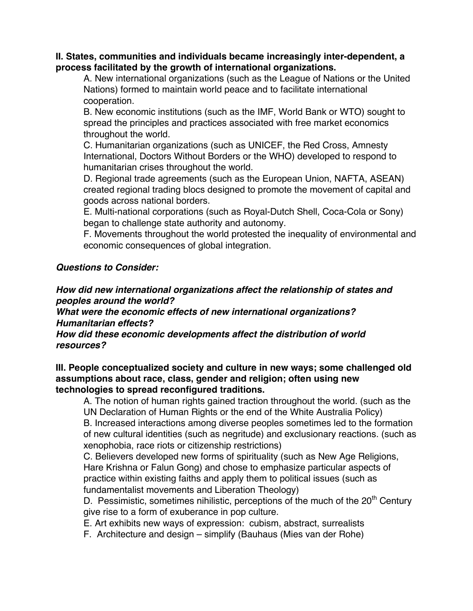#### **II. States, communities and individuals became increasingly inter-dependent, a process facilitated by the growth of international organizations.**

A. New international organizations (such as the League of Nations or the United Nations) formed to maintain world peace and to facilitate international cooperation.

B. New economic institutions (such as the IMF, World Bank or WTO) sought to spread the principles and practices associated with free market economics throughout the world.

C. Humanitarian organizations (such as UNICEF, the Red Cross, Amnesty International, Doctors Without Borders or the WHO) developed to respond to humanitarian crises throughout the world.

D. Regional trade agreements (such as the European Union, NAFTA, ASEAN) created regional trading blocs designed to promote the movement of capital and goods across national borders.

E. Multi-national corporations (such as Royal-Dutch Shell, Coca-Cola or Sony) began to challenge state authority and autonomy.

F. Movements throughout the world protested the inequality of environmental and economic consequences of global integration.

# *Questions to Consider:*

*How did new international organizations affect the relationship of states and peoples around the world?* 

*What were the economic effects of new international organizations? Humanitarian effects?* 

*How did these economic developments affect the distribution of world resources?* 

**III. People conceptualized society and culture in new ways; some challenged old assumptions about race, class, gender and religion; often using new technologies to spread reconfigured traditions.** 

A. The notion of human rights gained traction throughout the world. (such as the UN Declaration of Human Rights or the end of the White Australia Policy)

B. Increased interactions among diverse peoples sometimes led to the formation of new cultural identities (such as negritude) and exclusionary reactions. (such as xenophobia, race riots or citizenship restrictions)

C. Believers developed new forms of spirituality (such as New Age Religions, Hare Krishna or Falun Gong) and chose to emphasize particular aspects of practice within existing faiths and apply them to political issues (such as fundamentalist movements and Liberation Theology)

D. Pessimistic, sometimes nihilistic, perceptions of the much of the  $20<sup>th</sup>$  Century give rise to a form of exuberance in pop culture.

E. Art exhibits new ways of expression: cubism, abstract, surrealists

F. Architecture and design – simplify (Bauhaus (Mies van der Rohe)